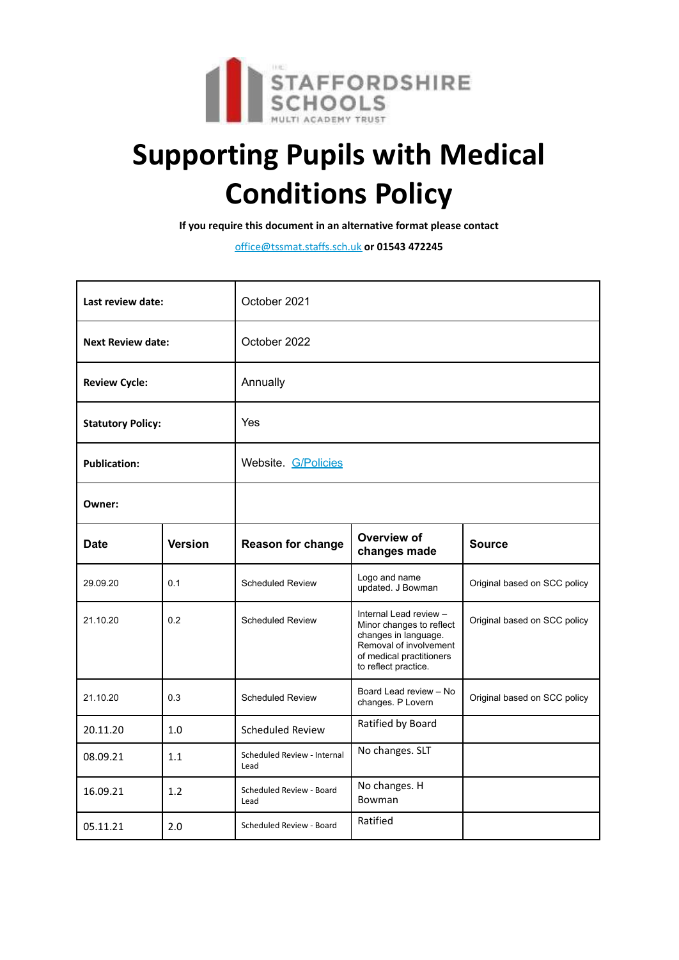

# **Supporting Pupils with Medical Conditions Policy**

**If you require this document in an alternative format please contact**

office@tssmat.staffs.sch.uk **or 01543 472245**

| Last review date:        |                | October 2021                        |                                                                                                                                                          |                              |
|--------------------------|----------------|-------------------------------------|----------------------------------------------------------------------------------------------------------------------------------------------------------|------------------------------|
| <b>Next Review date:</b> |                | October 2022                        |                                                                                                                                                          |                              |
| <b>Review Cycle:</b>     |                | Annually                            |                                                                                                                                                          |                              |
| <b>Statutory Policy:</b> |                | Yes                                 |                                                                                                                                                          |                              |
| <b>Publication:</b>      |                | Website. G/Policies                 |                                                                                                                                                          |                              |
| Owner:                   |                |                                     |                                                                                                                                                          |                              |
| <b>Date</b>              | <b>Version</b> | <b>Reason for change</b>            | Overview of<br>changes made                                                                                                                              | <b>Source</b>                |
| 29.09.20                 | 0.1            | <b>Scheduled Review</b>             | Logo and name<br>updated. J Bowman                                                                                                                       | Original based on SCC policy |
| 21.10.20                 | 0.2            | <b>Scheduled Review</b>             | Internal Lead review -<br>Minor changes to reflect<br>changes in language.<br>Removal of involvement<br>of medical practitioners<br>to reflect practice. | Original based on SCC policy |
| 21.10.20                 | 0.3            | <b>Scheduled Review</b>             | Board Lead review - No<br>changes. P Lovern                                                                                                              | Original based on SCC policy |
| 20.11.20                 | 1.0            | <b>Scheduled Review</b>             | Ratified by Board                                                                                                                                        |                              |
| 08.09.21                 | 1.1            | Scheduled Review - Internal<br>Lead | No changes. SLT                                                                                                                                          |                              |
| 16.09.21                 | 1.2            | Scheduled Review - Board<br>Lead    | No changes. H<br>Bowman                                                                                                                                  |                              |
| 05.11.21                 | 2.0            | Scheduled Review - Board            | Ratified                                                                                                                                                 |                              |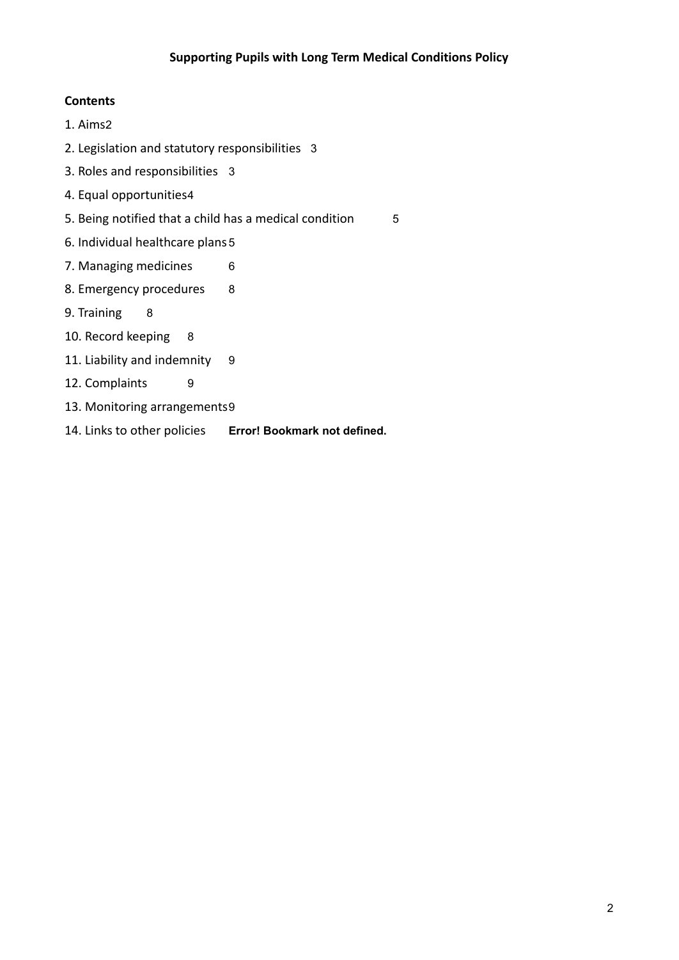#### **Contents**

- 1. Aims2
- 2. Legislation and statutory responsibilities 3
- 3. Roles and responsibilities 3
- 4. Equal opportunities4
- 5. Being notified that a child has a medical condition 5
- 6. Individual healthcare plans 5
- 7. Managing medicines 6
- 8. Emergency procedures 8
- 9. Training 8
- 10. Record keeping 8
- 11. Liability and indemnity 9
- 12. Complaints 9
- 13. Monitoring arrangements9
- 14. Links to other policies **Error! Bookmark not defined.**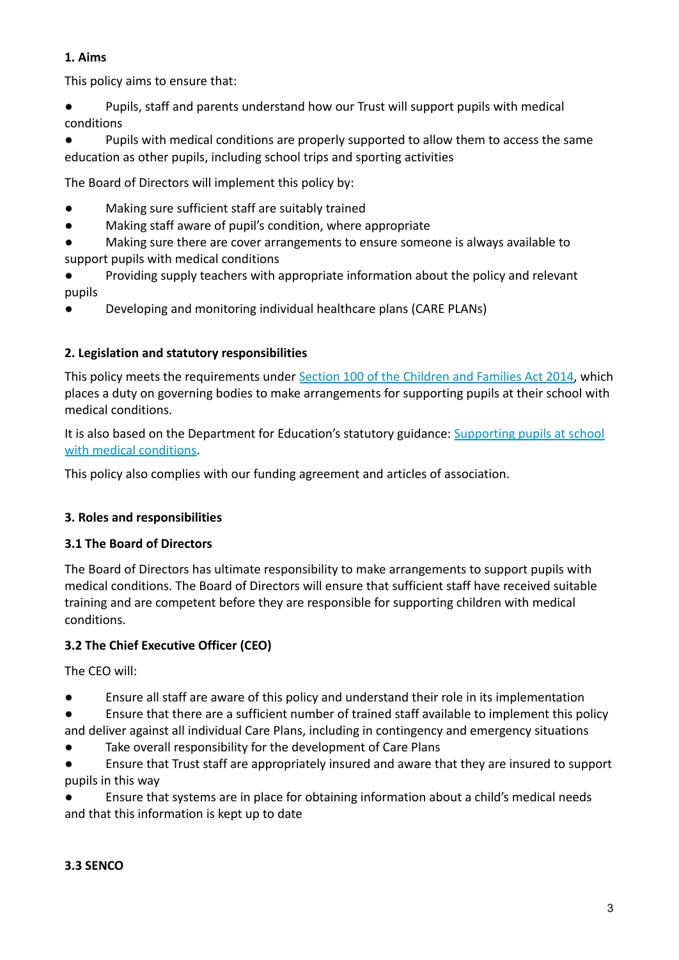#### **1. Aims**

This policy aims to ensure that:

● Pupils, staff and parents understand how our Trust will support pupils with medical conditions

Pupils with medical conditions are properly supported to allow them to access the same education as other pupils, including school trips and sporting activities

The Board of Directors will implement this policy by:

- Making sure sufficient staff are suitably trained
- Making staff aware of pupil's condition, where appropriate
- Making sure there are cover arrangements to ensure someone is always available to support pupils with medical conditions
- Providing supply teachers with appropriate information about the policy and relevant pupils
- Developing and monitoring individual healthcare plans (CARE PLANs)

# **2. Legislation and statutory responsibilities**

This policy meets the requirements under Section 100 of the Children and Families Act 2014, which places a duty on governing bodies to make arrangements for supporting pupils at their school with medical conditions.

It is also based on the Department for Education's statutory guidance: Supporting pupils at school with medical conditions.

This policy also complies with our funding agreement and articles of association.

# **3. Roles and responsibilities**

## **3.1 The Board of Directors**

The Board of Directors has ultimate responsibility to make arrangements to support pupils with medical conditions. The Board of Directors will ensure that sufficient staff have received suitable training and are competent before they are responsible for supporting children with medical conditions.

# **3.2 The Chief Executive Officer (CEO)**

The CEO will:

- Ensure all staff are aware of this policy and understand their role in its implementation
- Ensure that there are a sufficient number of trained staff available to implement this policy and deliver against all individual Care Plans, including in contingency and emergency situations
- Take overall responsibility for the development of Care Plans
- Ensure that Trust staff are appropriately insured and aware that they are insured to support pupils in this way

Ensure that systems are in place for obtaining information about a child's medical needs and that this information is kept up to date

## **3.3 SENCO**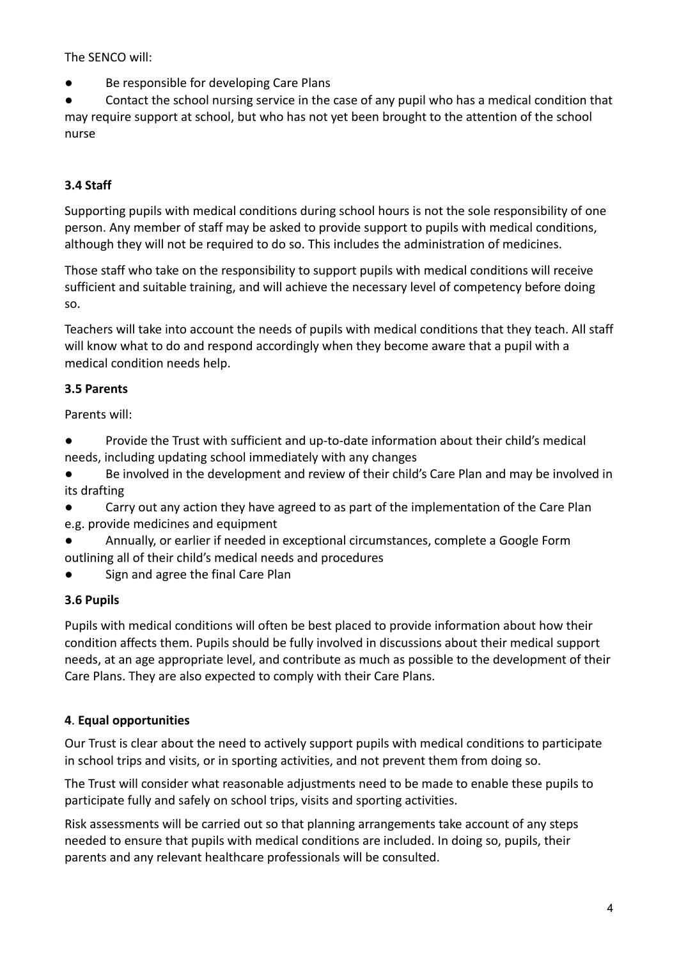The SENCO will:

● Be responsible for developing Care Plans

Contact the school nursing service in the case of any pupil who has a medical condition that may require support at school, but who has not yet been brought to the attention of the school nurse

# **3.4 Staff**

Supporting pupils with medical conditions during school hours is not the sole responsibility of one person. Any member of staff may be asked to provide support to pupils with medical conditions, although they will not be required to do so. This includes the administration of medicines.

Those staff who take on the responsibility to support pupils with medical conditions will receive sufficient and suitable training, and will achieve the necessary level of competency before doing so.

Teachers will take into account the needs of pupils with medical conditions that they teach. All staff will know what to do and respond accordingly when they become aware that a pupil with a medical condition needs help.

#### **3.5 Parents**

Parents will:

- Provide the Trust with sufficient and up-to-date information about their child's medical needs, including updating school immediately with any changes
- Be involved in the development and review of their child's Care Plan and may be involved in its drafting
- Carry out any action they have agreed to as part of the implementation of the Care Plan e.g. provide medicines and equipment
- Annually, or earlier if needed in exceptional circumstances, complete a Google Form outlining all of their child's medical needs and procedures
- Sign and agree the final Care Plan

## **3.6 Pupils**

Pupils with medical conditions will often be best placed to provide information about how their condition affects them. Pupils should be fully involved in discussions about their medical support needs, at an age appropriate level, and contribute as much as possible to the development of their Care Plans. They are also expected to comply with their Care Plans.

## **4**. **Equal opportunities**

Our Trust is clear about the need to actively support pupils with medical conditions to participate in school trips and visits, or in sporting activities, and not prevent them from doing so.

The Trust will consider what reasonable adjustments need to be made to enable these pupils to participate fully and safely on school trips, visits and sporting activities.

Risk assessments will be carried out so that planning arrangements take account of any steps needed to ensure that pupils with medical conditions are included. In doing so, pupils, their parents and any relevant healthcare professionals will be consulted.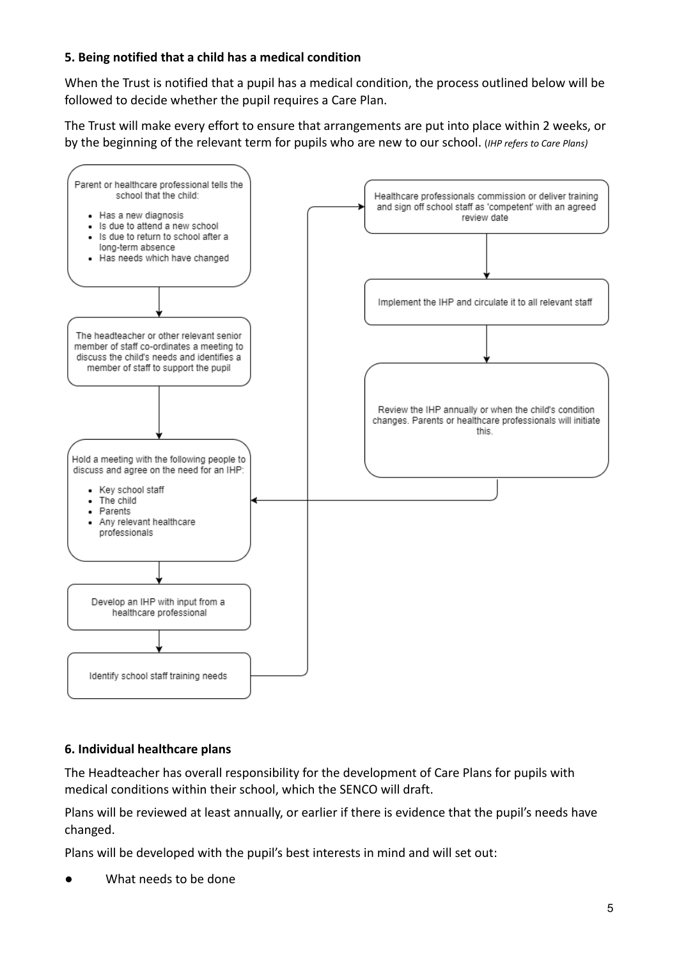#### **5. Being notified that a child has a medical condition**

When the Trust is notified that a pupil has a medical condition, the process outlined below will be followed to decide whether the pupil requires a Care Plan.

The Trust will make every effort to ensure that arrangements are put into place within 2 weeks, or by the beginning of the relevant term for pupils who are new to our school. (*IHP refers to Care Plans)*



#### **6. Individual healthcare plans**

The Headteacher has overall responsibility for the development of Care Plans for pupils with medical conditions within their school, which the SENCO will draft.

Plans will be reviewed at least annually, or earlier if there is evidence that the pupil's needs have changed.

Plans will be developed with the pupil's best interests in mind and will set out:

What needs to be done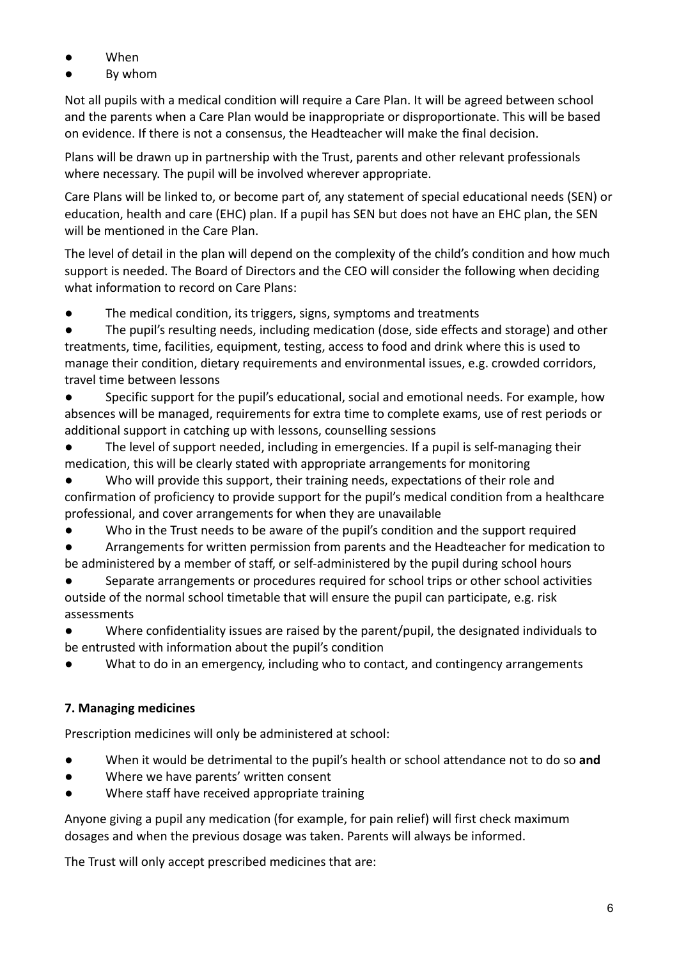- When
- By whom

Not all pupils with a medical condition will require a Care Plan. It will be agreed between school and the parents when a Care Plan would be inappropriate or disproportionate. This will be based on evidence. If there is not a consensus, the Headteacher will make the final decision.

Plans will be drawn up in partnership with the Trust, parents and other relevant professionals where necessary. The pupil will be involved wherever appropriate.

Care Plans will be linked to, or become part of, any statement of special educational needs (SEN) or education, health and care (EHC) plan. If a pupil has SEN but does not have an EHC plan, the SEN will be mentioned in the Care Plan.

The level of detail in the plan will depend on the complexity of the child's condition and how much support is needed. The Board of Directors and the CEO will consider the following when deciding what information to record on Care Plans:

● The medical condition, its triggers, signs, symptoms and treatments

The pupil's resulting needs, including medication (dose, side effects and storage) and other treatments, time, facilities, equipment, testing, access to food and drink where this is used to manage their condition, dietary requirements and environmental issues, e.g. crowded corridors, travel time between lessons

Specific support for the pupil's educational, social and emotional needs. For example, how absences will be managed, requirements for extra time to complete exams, use of rest periods or additional support in catching up with lessons, counselling sessions

The level of support needed, including in emergencies. If a pupil is self-managing their medication, this will be clearly stated with appropriate arrangements for monitoring

Who will provide this support, their training needs, expectations of their role and confirmation of proficiency to provide support for the pupil's medical condition from a healthcare professional, and cover arrangements for when they are unavailable

● Who in the Trust needs to be aware of the pupil's condition and the support required

● Arrangements for written permission from parents and the Headteacher for medication to be administered by a member of staff, or self-administered by the pupil during school hours

Separate arrangements or procedures required for school trips or other school activities outside of the normal school timetable that will ensure the pupil can participate, e.g. risk assessments

Where confidentiality issues are raised by the parent/pupil, the designated individuals to be entrusted with information about the pupil's condition

What to do in an emergency, including who to contact, and contingency arrangements

# **7. Managing medicines**

Prescription medicines will only be administered at school:

- When it would be detrimental to the pupil's health or school attendance not to do so **and**
- Where we have parents' written consent
- Where staff have received appropriate training

Anyone giving a pupil any medication (for example, for pain relief) will first check maximum dosages and when the previous dosage was taken. Parents will always be informed.

The Trust will only accept prescribed medicines that are: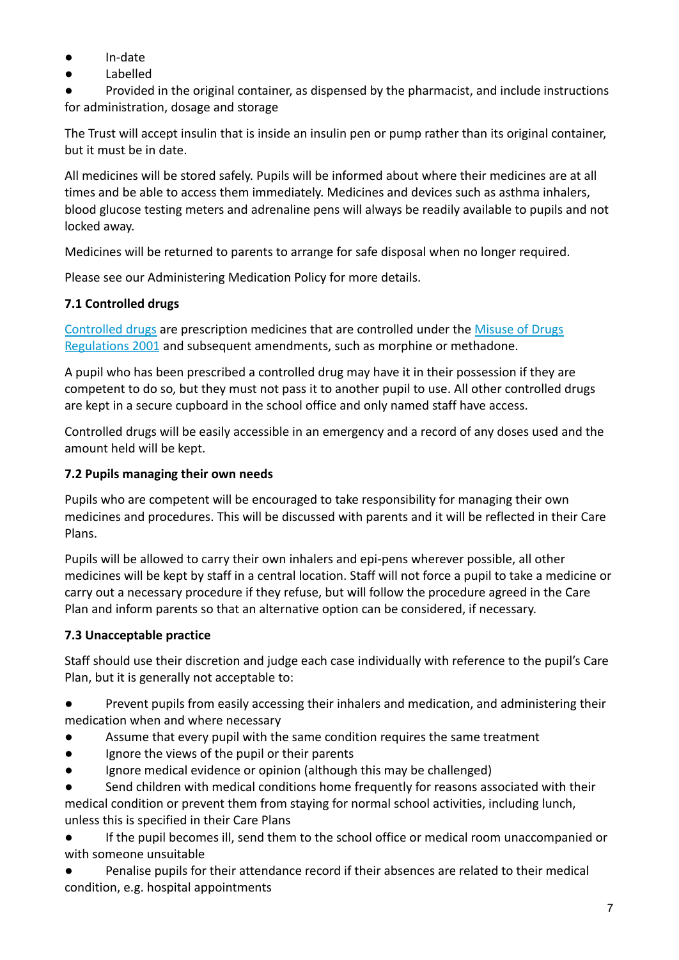- In-date
- Labelled

Provided in the original container, as dispensed by the pharmacist, and include instructions for administration, dosage and storage

The Trust will accept insulin that is inside an insulin pen or pump rather than its original container, but it must be in date.

All medicines will be stored safely. Pupils will be informed about where their medicines are at all times and be able to access them immediately. Medicines and devices such as asthma inhalers, blood glucose testing meters and adrenaline pens will always be readily available to pupils and not locked away.

Medicines will be returned to parents to arrange for safe disposal when no longer required.

Please see our Administering Medication Policy for more details.

# **7.1 Controlled drugs**

Controlled drugs are prescription medicines that are controlled under the Misuse of Drugs Regulations 2001 and subsequent amendments, such as morphine or methadone.

A pupil who has been prescribed a controlled drug may have it in their possession if they are competent to do so, but they must not pass it to another pupil to use. All other controlled drugs are kept in a secure cupboard in the school office and only named staff have access.

Controlled drugs will be easily accessible in an emergency and a record of any doses used and the amount held will be kept.

## **7.2 Pupils managing their own needs**

Pupils who are competent will be encouraged to take responsibility for managing their own medicines and procedures. This will be discussed with parents and it will be reflected in their Care Plans.

Pupils will be allowed to carry their own inhalers and epi-pens wherever possible, all other medicines will be kept by staff in a central location. Staff will not force a pupil to take a medicine or carry out a necessary procedure if they refuse, but will follow the procedure agreed in the Care Plan and inform parents so that an alternative option can be considered, if necessary.

# **7.3 Unacceptable practice**

Staff should use their discretion and judge each case individually with reference to the pupil's Care Plan, but it is generally not acceptable to:

● Prevent pupils from easily accessing their inhalers and medication, and administering their medication when and where necessary

- Assume that every pupil with the same condition requires the same treatment
- Ignore the views of the pupil or their parents
- Ignore medical evidence or opinion (although this may be challenged)

Send children with medical conditions home frequently for reasons associated with their medical condition or prevent them from staying for normal school activities, including lunch, unless this is specified in their Care Plans

If the pupil becomes ill, send them to the school office or medical room unaccompanied or with someone unsuitable

● Penalise pupils for their attendance record if their absences are related to their medical condition, e.g. hospital appointments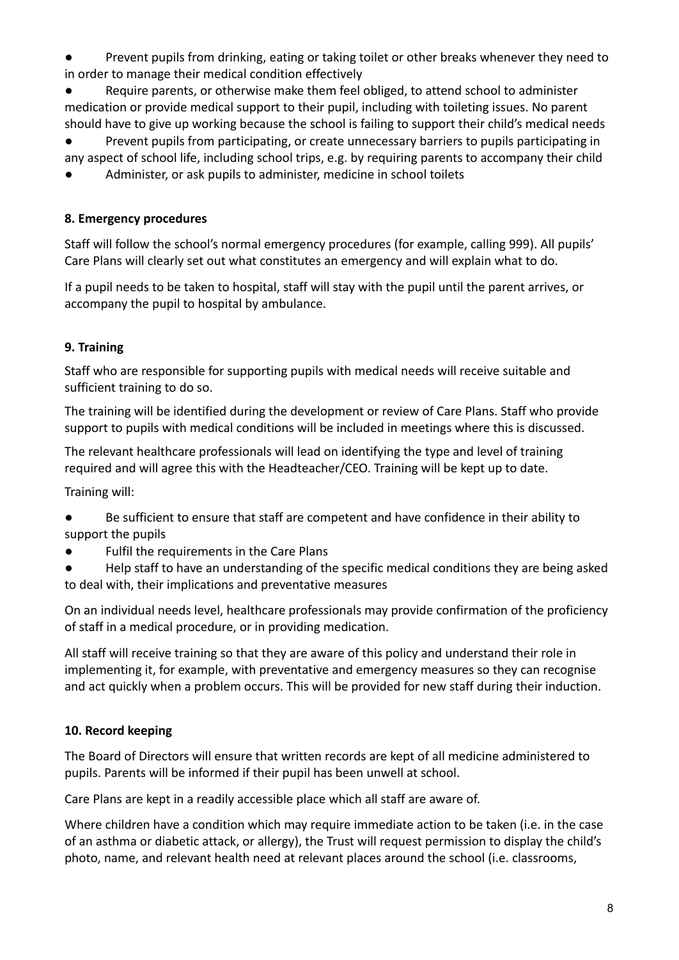Prevent pupils from drinking, eating or taking toilet or other breaks whenever they need to in order to manage their medical condition effectively

Require parents, or otherwise make them feel obliged, to attend school to administer medication or provide medical support to their pupil, including with toileting issues. No parent should have to give up working because the school is failing to support their child's medical needs

Prevent pupils from participating, or create unnecessary barriers to pupils participating in any aspect of school life, including school trips, e.g. by requiring parents to accompany their child

Administer, or ask pupils to administer, medicine in school toilets

#### **8. Emergency procedures**

Staff will follow the school's normal emergency procedures (for example, calling 999). All pupils' Care Plans will clearly set out what constitutes an emergency and will explain what to do.

If a pupil needs to be taken to hospital, staff will stay with the pupil until the parent arrives, or accompany the pupil to hospital by ambulance.

#### **9. Training**

Staff who are responsible for supporting pupils with medical needs will receive suitable and sufficient training to do so.

The training will be identified during the development or review of Care Plans. Staff who provide support to pupils with medical conditions will be included in meetings where this is discussed.

The relevant healthcare professionals will lead on identifying the type and level of training required and will agree this with the Headteacher/CEO. Training will be kept up to date.

Training will:

- Be sufficient to ensure that staff are competent and have confidence in their ability to support the pupils
- Fulfil the requirements in the Care Plans
- Help staff to have an understanding of the specific medical conditions they are being asked to deal with, their implications and preventative measures

On an individual needs level, healthcare professionals may provide confirmation of the proficiency of staff in a medical procedure, or in providing medication.

All staff will receive training so that they are aware of this policy and understand their role in implementing it, for example, with preventative and emergency measures so they can recognise and act quickly when a problem occurs. This will be provided for new staff during their induction.

#### **10. Record keeping**

The Board of Directors will ensure that written records are kept of all medicine administered to pupils. Parents will be informed if their pupil has been unwell at school.

Care Plans are kept in a readily accessible place which all staff are aware of.

Where children have a condition which may require immediate action to be taken (i.e. in the case of an asthma or diabetic attack, or allergy), the Trust will request permission to display the child's photo, name, and relevant health need at relevant places around the school (i.e. classrooms,